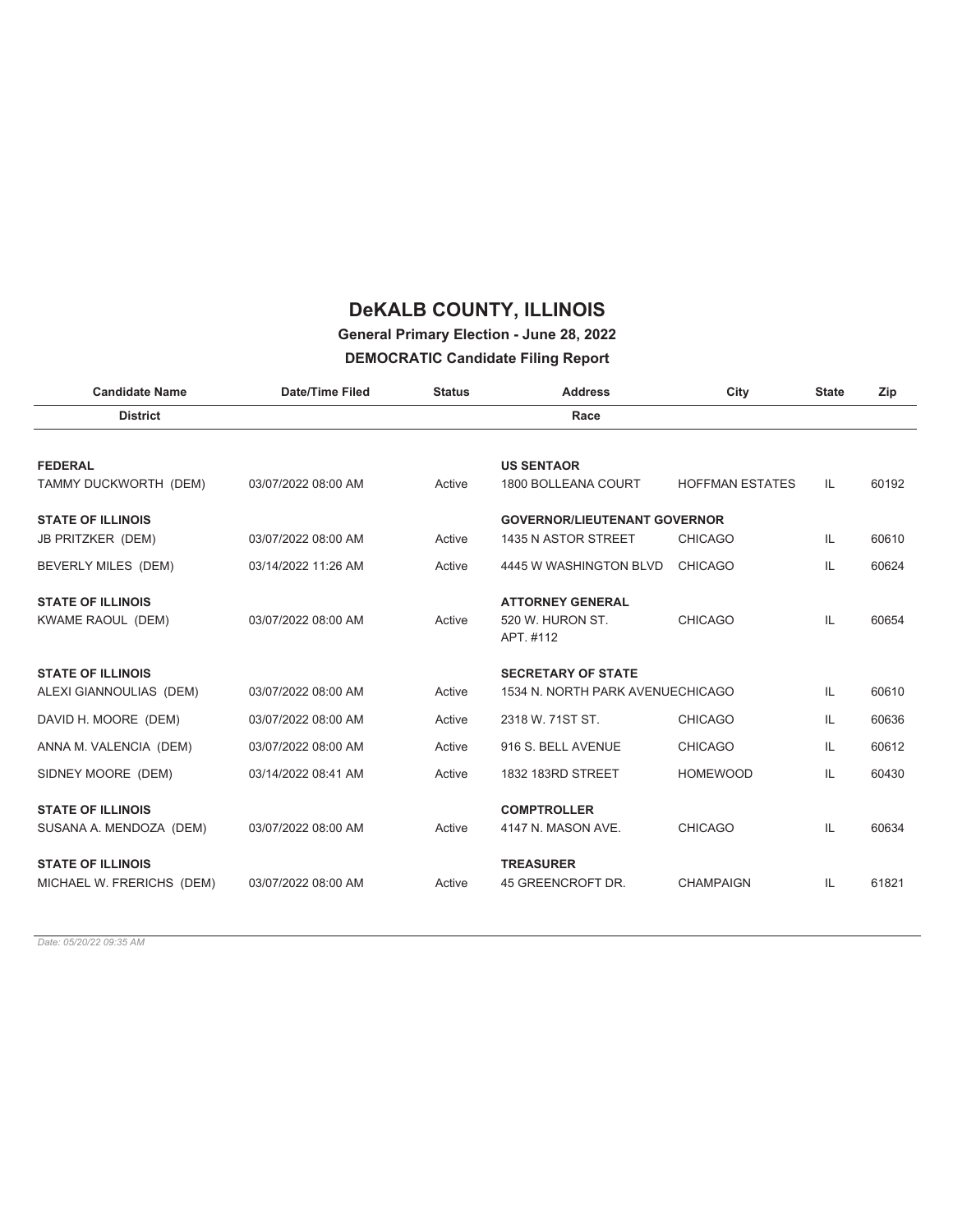### **General Primary Election - June 28, 2022**

#### **DEMOCRATIC Candidate Filing Report**

| <b>Date/Time Filed</b> | <b>Status</b> | <b>Address</b>                | City                   | <b>State</b>                                                            | Zip   |
|------------------------|---------------|-------------------------------|------------------------|-------------------------------------------------------------------------|-------|
|                        |               | Race                          |                        |                                                                         |       |
|                        |               |                               |                        |                                                                         |       |
|                        |               | <b>US SENTAOR</b>             |                        |                                                                         |       |
| 03/07/2022 08:00 AM    | Active        | 1800 BOLLEANA COURT           | <b>HOFFMAN ESTATES</b> | IL.                                                                     | 60192 |
|                        |               |                               |                        |                                                                         |       |
| 03/07/2022 08:00 AM    | Active        | 1435 N ASTOR STREET           | <b>CHICAGO</b>         | IL                                                                      | 60610 |
| 03/14/2022 11:26 AM    | Active        | 4445 W WASHINGTON BLVD        | <b>CHICAGO</b>         | IL.                                                                     | 60624 |
|                        |               | <b>ATTORNEY GENERAL</b>       |                        |                                                                         |       |
| 03/07/2022 08:00 AM    | Active        | 520 W. HURON ST.<br>APT. #112 | <b>CHICAGO</b>         | IL.                                                                     | 60654 |
|                        |               | <b>SECRETARY OF STATE</b>     |                        |                                                                         |       |
| 03/07/2022 08:00 AM    | Active        |                               |                        | IL                                                                      | 60610 |
| 03/07/2022 08:00 AM    | Active        | 2318 W. 71ST ST.              | <b>CHICAGO</b>         | IL                                                                      | 60636 |
| 03/07/2022 08:00 AM    | Active        | 916 S. BELL AVENUE            | <b>CHICAGO</b>         | IL                                                                      | 60612 |
| 03/14/2022 08:41 AM    | Active        | 1832 183RD STREET             | <b>HOMEWOOD</b>        | IL                                                                      | 60430 |
|                        |               | <b>COMPTROLLER</b>            |                        |                                                                         |       |
| 03/07/2022 08:00 AM    | Active        | 4147 N. MASON AVE.            | <b>CHICAGO</b>         | IL.                                                                     | 60634 |
|                        |               | <b>TREASURER</b>              |                        |                                                                         |       |
| 03/07/2022 08:00 AM    | Active        | 45 GREENCROFT DR.             | <b>CHAMPAIGN</b>       | IL.                                                                     | 61821 |
|                        |               |                               |                        | <b>GOVERNOR/LIEUTENANT GOVERNOR</b><br>1534 N. NORTH PARK AVENUECHICAGO |       |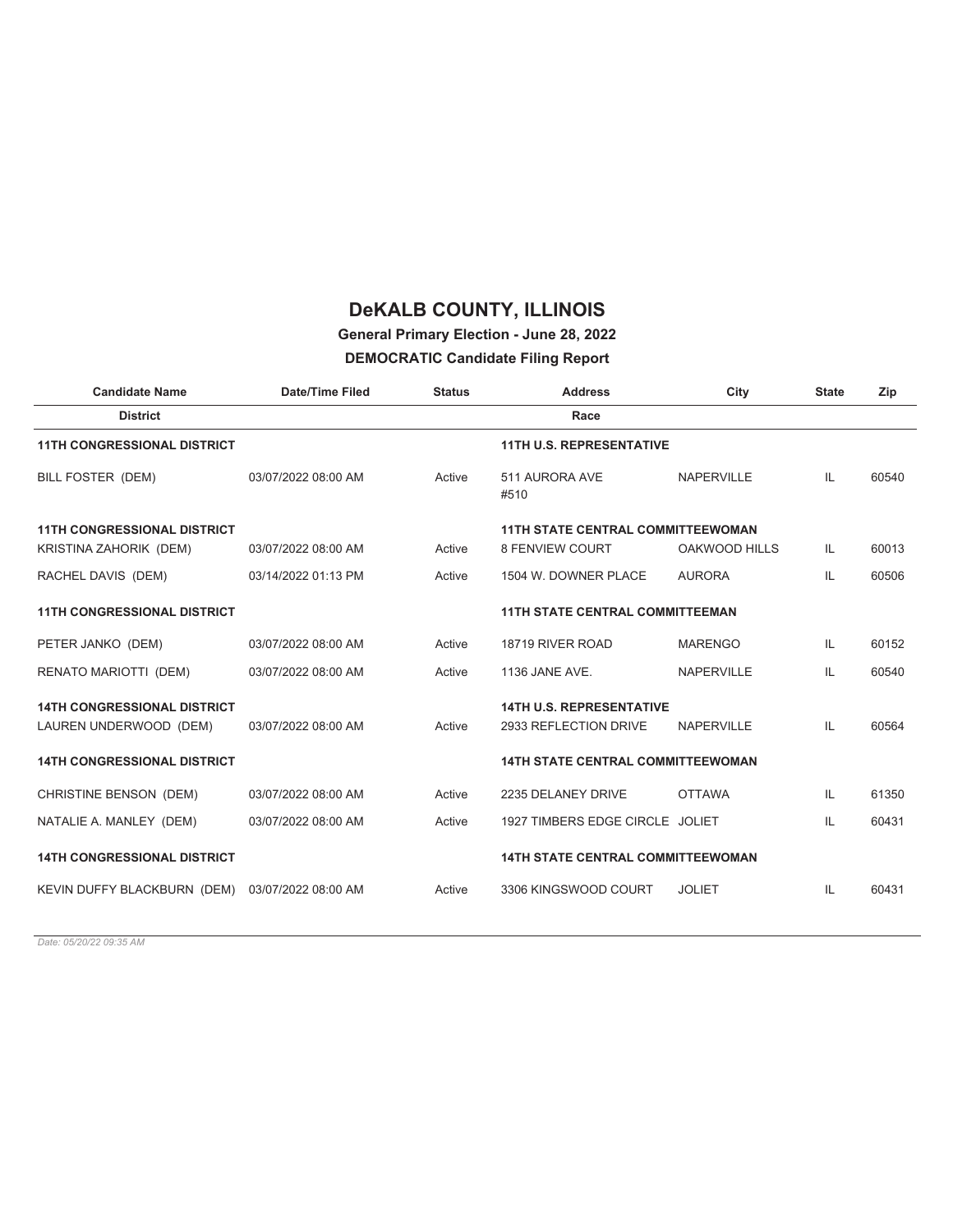### **General Primary Election - June 28, 2022**

#### **DEMOCRATIC Candidate Filing Report**

| <b>Candidate Name</b>                           | <b>Date/Time Filed</b> | <b>Status</b> | <b>Address</b>                           | City              | <b>State</b> | Zip   |
|-------------------------------------------------|------------------------|---------------|------------------------------------------|-------------------|--------------|-------|
| <b>District</b>                                 |                        |               | Race                                     |                   |              |       |
| <b>11TH CONGRESSIONAL DISTRICT</b>              |                        |               | <b>11TH U.S. REPRESENTATIVE</b>          |                   |              |       |
| BILL FOSTER (DEM)                               | 03/07/2022 08:00 AM    | Active        | 511 AURORA AVE<br>#510                   | <b>NAPERVILLE</b> | IL.          | 60540 |
| <b>11TH CONGRESSIONAL DISTRICT</b>              |                        |               | <b>11TH STATE CENTRAL COMMITTEEWOMAN</b> |                   |              |       |
| KRISTINA ZAHORIK (DEM)                          | 03/07/2022 08:00 AM    | Active        | <b>8 FENVIEW COURT</b>                   | OAKWOOD HILLS     | IL.          | 60013 |
| RACHEL DAVIS (DEM)                              | 03/14/2022 01:13 PM    | Active        | 1504 W. DOWNER PLACE                     | <b>AURORA</b>     | IL           | 60506 |
| <b>11TH CONGRESSIONAL DISTRICT</b>              |                        |               | <b>11TH STATE CENTRAL COMMITTEEMAN</b>   |                   |              |       |
| PETER JANKO (DEM)                               | 03/07/2022 08:00 AM    | Active        | 18719 RIVER ROAD                         | <b>MARENGO</b>    | IL           | 60152 |
| RENATO MARIOTTI (DEM)                           | 03/07/2022 08:00 AM    | Active        | 1136 JANE AVE.                           | <b>NAPERVILLE</b> | IL           | 60540 |
| <b>14TH CONGRESSIONAL DISTRICT</b>              |                        |               | <b>14TH U.S. REPRESENTATIVE</b>          |                   |              |       |
| LAUREN UNDERWOOD (DEM)                          | 03/07/2022 08:00 AM    | Active        | 2933 REFLECTION DRIVE                    | <b>NAPERVILLE</b> | IL           | 60564 |
| <b>14TH CONGRESSIONAL DISTRICT</b>              |                        |               | <b>14TH STATE CENTRAL COMMITTEEWOMAN</b> |                   |              |       |
| CHRISTINE BENSON (DEM)                          | 03/07/2022 08:00 AM    | Active        | 2235 DELANEY DRIVE                       | <b>OTTAWA</b>     | IL           | 61350 |
| NATALIE A. MANLEY (DEM)                         | 03/07/2022 08:00 AM    | Active        | 1927 TIMBERS EDGE CIRCLE JOLIET          |                   | IL           | 60431 |
| <b>14TH CONGRESSIONAL DISTRICT</b>              |                        |               | <b>14TH STATE CENTRAL COMMITTEEWOMAN</b> |                   |              |       |
| KEVIN DUFFY BLACKBURN (DEM) 03/07/2022 08:00 AM |                        | Active        | 3306 KINGSWOOD COURT                     | <b>JOLIET</b>     | IL           | 60431 |
|                                                 |                        |               |                                          |                   |              |       |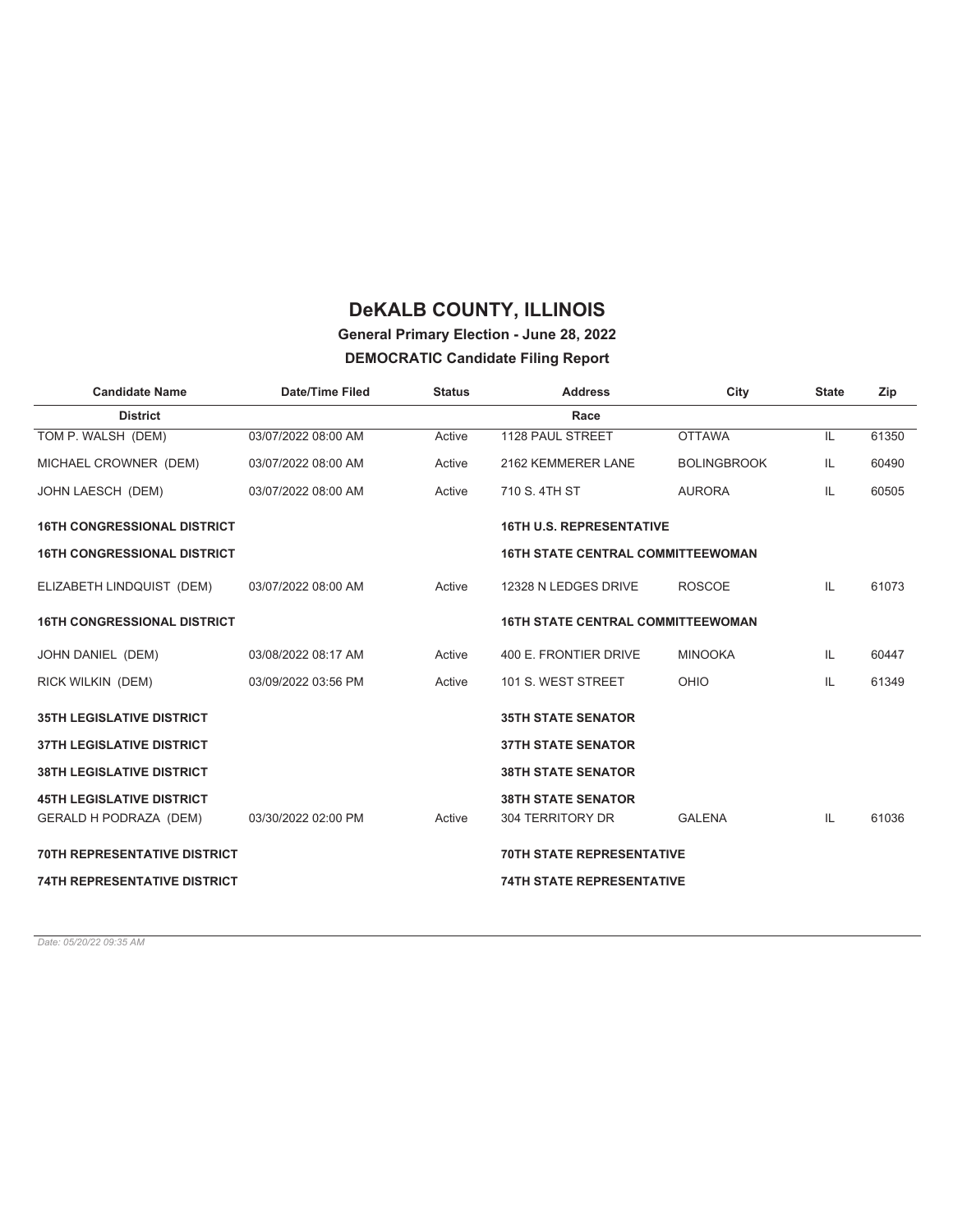# **General Primary Election - June 28, 2022**

**DEMOCRATIC Candidate Filing Report**

| <b>Candidate Name</b>                                             | <b>Date/Time Filed</b> | <b>Status</b> | <b>Address</b>                                | City               | <b>State</b> | Zip   |
|-------------------------------------------------------------------|------------------------|---------------|-----------------------------------------------|--------------------|--------------|-------|
| <b>District</b>                                                   |                        |               | Race                                          |                    |              |       |
| TOM P. WALSH (DEM)                                                | 03/07/2022 08:00 AM    | Active        | 1128 PAUL STREET                              | <b>OTTAWA</b>      | IL           | 61350 |
| MICHAEL CROWNER (DEM)                                             | 03/07/2022 08:00 AM    | Active        | 2162 KEMMERER LANE                            | <b>BOLINGBROOK</b> | IL           | 60490 |
| JOHN LAESCH (DEM)                                                 | 03/07/2022 08:00 AM    | Active        | 710 S. 4TH ST                                 | <b>AURORA</b>      | IL           | 60505 |
| <b>16TH CONGRESSIONAL DISTRICT</b>                                |                        |               | <b>16TH U.S. REPRESENTATIVE</b>               |                    |              |       |
| <b>16TH CONGRESSIONAL DISTRICT</b>                                |                        |               | <b>16TH STATE CENTRAL COMMITTEEWOMAN</b>      |                    |              |       |
| ELIZABETH LINDQUIST (DEM)                                         | 03/07/2022 08:00 AM    | Active        | 12328 N LEDGES DRIVE                          | <b>ROSCOE</b>      | IL           | 61073 |
| <b>16TH CONGRESSIONAL DISTRICT</b>                                |                        |               | <b>16TH STATE CENTRAL COMMITTEEWOMAN</b>      |                    |              |       |
| JOHN DANIEL (DEM)                                                 | 03/08/2022 08:17 AM    | Active        | 400 E. FRONTIER DRIVE                         | <b>MINOOKA</b>     | IL           | 60447 |
| RICK WILKIN (DEM)                                                 | 03/09/2022 03:56 PM    | Active        | 101 S. WEST STREET                            | OHIO               | IL           | 61349 |
| <b>35TH LEGISLATIVE DISTRICT</b>                                  |                        |               | <b>35TH STATE SENATOR</b>                     |                    |              |       |
| <b>37TH LEGISLATIVE DISTRICT</b>                                  |                        |               | <b>37TH STATE SENATOR</b>                     |                    |              |       |
| <b>38TH LEGISLATIVE DISTRICT</b>                                  |                        |               | <b>38TH STATE SENATOR</b>                     |                    |              |       |
| <b>45TH LEGISLATIVE DISTRICT</b><br><b>GERALD H PODRAZA (DEM)</b> | 03/30/2022 02:00 PM    | Active        | <b>38TH STATE SENATOR</b><br>304 TERRITORY DR | <b>GALENA</b>      | IL           | 61036 |
| <b>70TH REPRESENTATIVE DISTRICT</b>                               |                        |               | <b>70TH STATE REPRESENTATIVE</b>              |                    |              |       |
| <b>74TH REPRESENTATIVE DISTRICT</b>                               |                        |               | <b>74TH STATE REPRESENTATIVE</b>              |                    |              |       |
|                                                                   |                        |               |                                               |                    |              |       |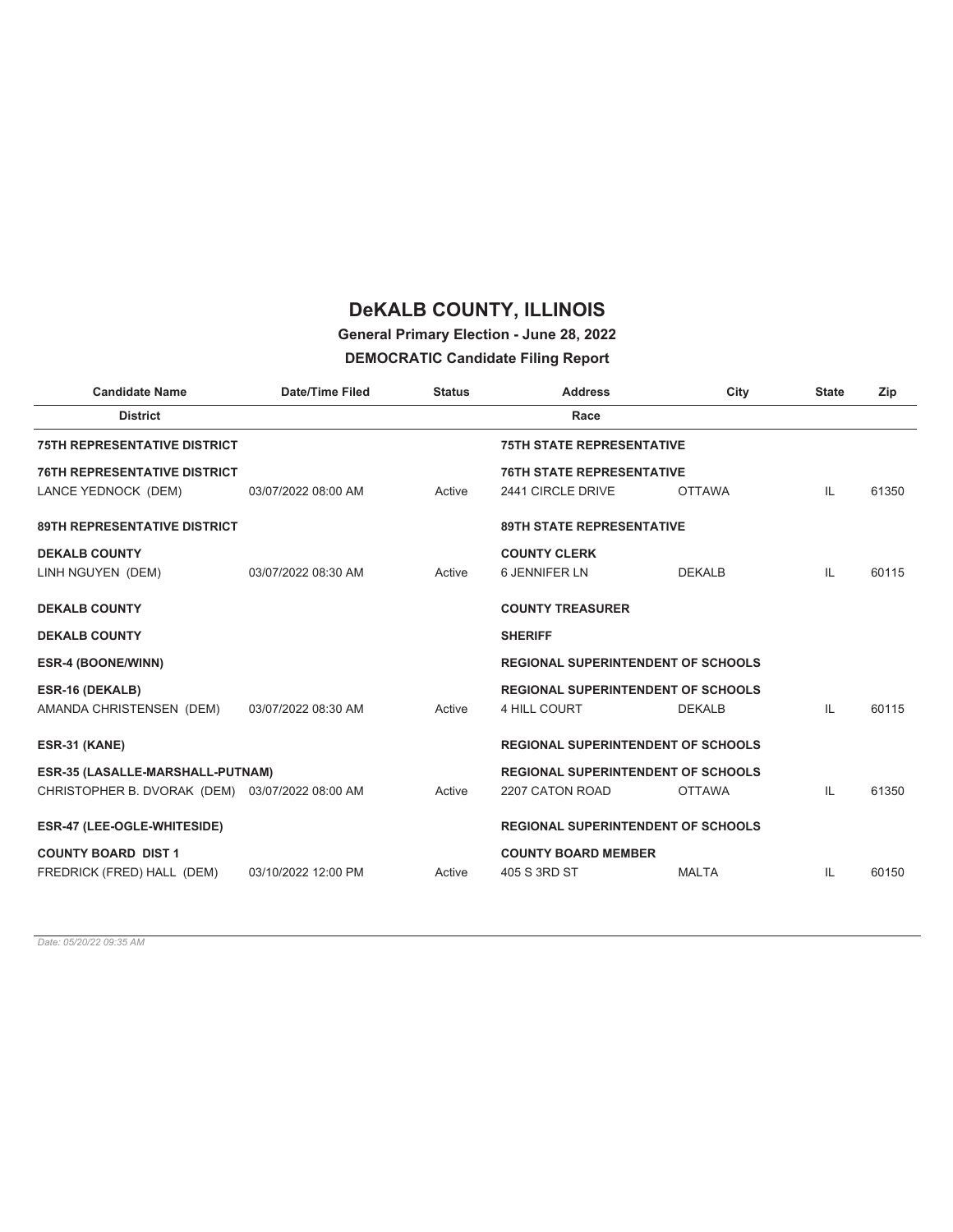### **General Primary Election - June 28, 2022**

#### **DEMOCRATIC Candidate Filing Report**

| <b>Candidate Name</b>                           | <b>Date/Time Filed</b> | <b>Status</b> | <b>Address</b>                            | City          | <b>State</b> | Zip   |
|-------------------------------------------------|------------------------|---------------|-------------------------------------------|---------------|--------------|-------|
| <b>District</b>                                 |                        |               | Race                                      |               |              |       |
| <b>75TH REPRESENTATIVE DISTRICT</b>             |                        |               | <b>75TH STATE REPRESENTATIVE</b>          |               |              |       |
| <b>76TH REPRESENTATIVE DISTRICT</b>             |                        |               | <b>76TH STATE REPRESENTATIVE</b>          |               |              |       |
| LANCE YEDNOCK (DEM)                             | 03/07/2022 08:00 AM    | Active        | 2441 CIRCLE DRIVE                         | <b>OTTAWA</b> | IL           | 61350 |
| <b>89TH REPRESENTATIVE DISTRICT</b>             |                        |               | <b>89TH STATE REPRESENTATIVE</b>          |               |              |       |
| <b>DEKALB COUNTY</b>                            |                        |               | <b>COUNTY CLERK</b>                       |               |              |       |
| LINH NGUYEN (DEM)                               | 03/07/2022 08:30 AM    | Active        | <b>6 JENNIFER LN</b>                      | <b>DEKALB</b> | IL           | 60115 |
| <b>DEKALB COUNTY</b>                            |                        |               | <b>COUNTY TREASURER</b>                   |               |              |       |
| <b>DEKALB COUNTY</b>                            |                        |               | <b>SHERIFF</b>                            |               |              |       |
| ESR-4 (BOONE/WINN)                              |                        |               | <b>REGIONAL SUPERINTENDENT OF SCHOOLS</b> |               |              |       |
| ESR-16 (DEKALB)                                 |                        |               | <b>REGIONAL SUPERINTENDENT OF SCHOOLS</b> |               |              |       |
| AMANDA CHRISTENSEN (DEM)                        | 03/07/2022 08:30 AM    | Active        | 4 HILL COURT                              | <b>DEKALB</b> | IL           | 60115 |
| ESR-31 (KANE)                                   |                        |               | <b>REGIONAL SUPERINTENDENT OF SCHOOLS</b> |               |              |       |
| ESR-35 (LASALLE-MARSHALL-PUTNAM)                |                        |               | <b>REGIONAL SUPERINTENDENT OF SCHOOLS</b> |               |              |       |
| CHRISTOPHER B. DVORAK (DEM) 03/07/2022 08:00 AM |                        | Active        | 2207 CATON ROAD                           | <b>OTTAWA</b> | IL           | 61350 |
| ESR-47 (LEE-OGLE-WHITESIDE)                     |                        |               | <b>REGIONAL SUPERINTENDENT OF SCHOOLS</b> |               |              |       |
| <b>COUNTY BOARD DIST 1</b>                      |                        |               | <b>COUNTY BOARD MEMBER</b>                |               |              |       |
| FREDRICK (FRED) HALL (DEM)                      | 03/10/2022 12:00 PM    | Active        | 405 S 3RD ST                              | <b>MALTA</b>  | IL           | 60150 |
|                                                 |                        |               |                                           |               |              |       |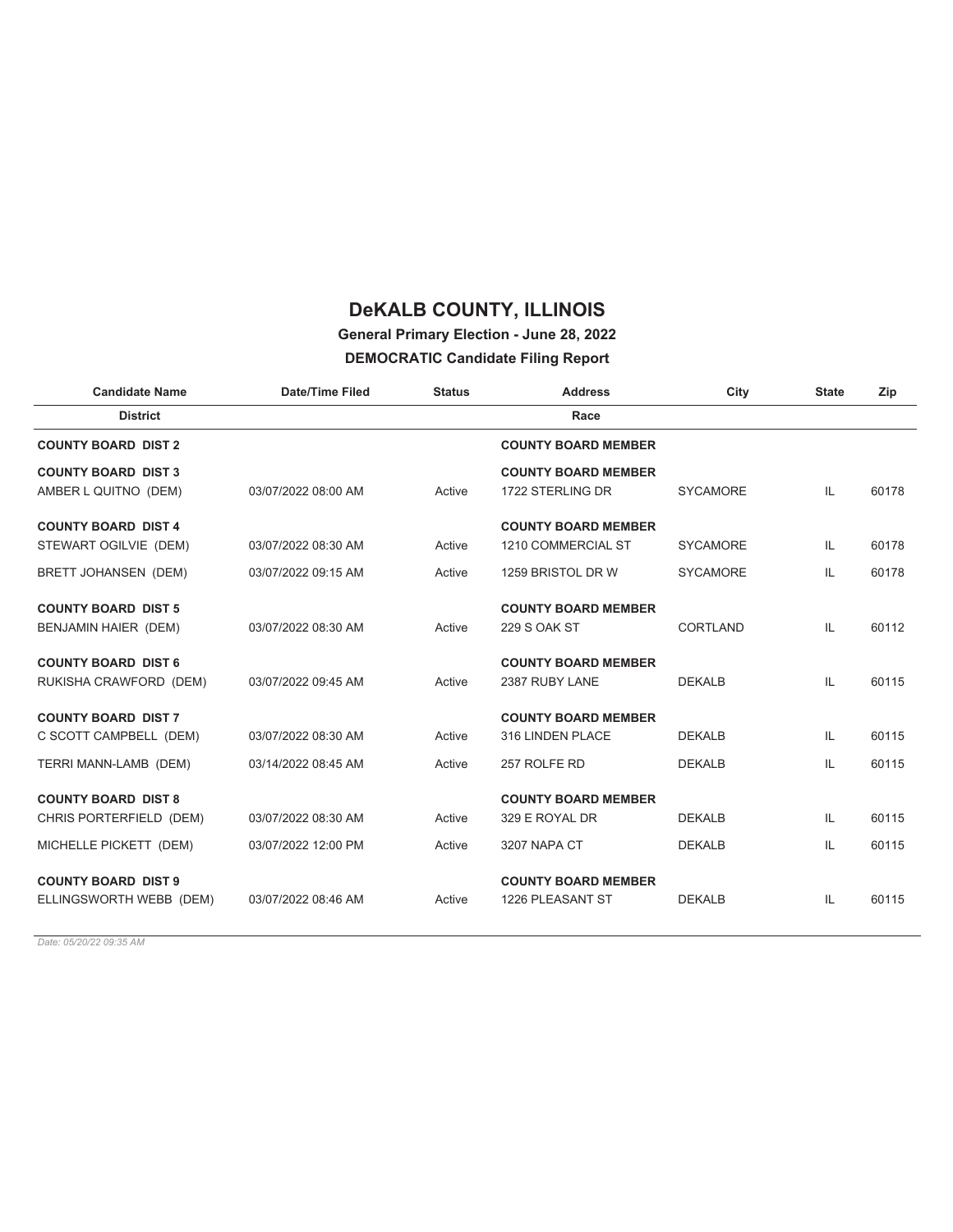# **General Primary Election - June 28, 2022**

#### **DEMOCRATIC Candidate Filing Report**

| <b>Candidate Name</b>      | <b>Date/Time Filed</b> | <b>Status</b> | <b>Address</b>             | City            | <b>State</b> | Zip   |
|----------------------------|------------------------|---------------|----------------------------|-----------------|--------------|-------|
| <b>District</b>            |                        |               | Race                       |                 |              |       |
| <b>COUNTY BOARD DIST 2</b> |                        |               | <b>COUNTY BOARD MEMBER</b> |                 |              |       |
| <b>COUNTY BOARD DIST 3</b> |                        |               | <b>COUNTY BOARD MEMBER</b> |                 |              |       |
| AMBER L QUITNO (DEM)       | 03/07/2022 08:00 AM    | Active        | 1722 STERLING DR           | <b>SYCAMORE</b> | IL           | 60178 |
| <b>COUNTY BOARD DIST 4</b> |                        |               | <b>COUNTY BOARD MEMBER</b> |                 |              |       |
| STEWART OGILVIE (DEM)      | 03/07/2022 08:30 AM    | Active        | 1210 COMMERCIAL ST         | <b>SYCAMORE</b> | IL           | 60178 |
| BRETT JOHANSEN (DEM)       | 03/07/2022 09:15 AM    | Active        | 1259 BRISTOL DR W          | <b>SYCAMORE</b> | IL           | 60178 |
| <b>COUNTY BOARD DIST 5</b> |                        |               | <b>COUNTY BOARD MEMBER</b> |                 |              |       |
| BENJAMIN HAIER (DEM)       | 03/07/2022 08:30 AM    | Active        | 229 S OAK ST               | CORTLAND        | IL           | 60112 |
| <b>COUNTY BOARD DIST 6</b> |                        |               | <b>COUNTY BOARD MEMBER</b> |                 |              |       |
| RUKISHA CRAWFORD (DEM)     | 03/07/2022 09:45 AM    | Active        | 2387 RUBY LANE             | <b>DEKALB</b>   | IL.          | 60115 |
| <b>COUNTY BOARD DIST 7</b> |                        |               | <b>COUNTY BOARD MEMBER</b> |                 |              |       |
| C SCOTT CAMPBELL (DEM)     | 03/07/2022 08:30 AM    | Active        | 316 LINDEN PLACE           | <b>DEKALB</b>   | IL           | 60115 |
| TERRI MANN-LAMB (DEM)      | 03/14/2022 08:45 AM    | Active        | 257 ROLFE RD               | <b>DEKALB</b>   | IL           | 60115 |
| <b>COUNTY BOARD DIST 8</b> |                        |               | <b>COUNTY BOARD MEMBER</b> |                 |              |       |
| CHRIS PORTERFIELD (DEM)    | 03/07/2022 08:30 AM    | Active        | 329 E ROYAL DR             | <b>DEKALB</b>   | IL.          | 60115 |
| MICHELLE PICKETT (DEM)     | 03/07/2022 12:00 PM    | Active        | 3207 NAPA CT               | <b>DEKALB</b>   | IL.          | 60115 |
| <b>COUNTY BOARD DIST 9</b> |                        |               | <b>COUNTY BOARD MEMBER</b> |                 |              |       |
| ELLINGSWORTH WEBB (DEM)    | 03/07/2022 08:46 AM    | Active        | 1226 PLEASANT ST           | <b>DEKALB</b>   | IL           | 60115 |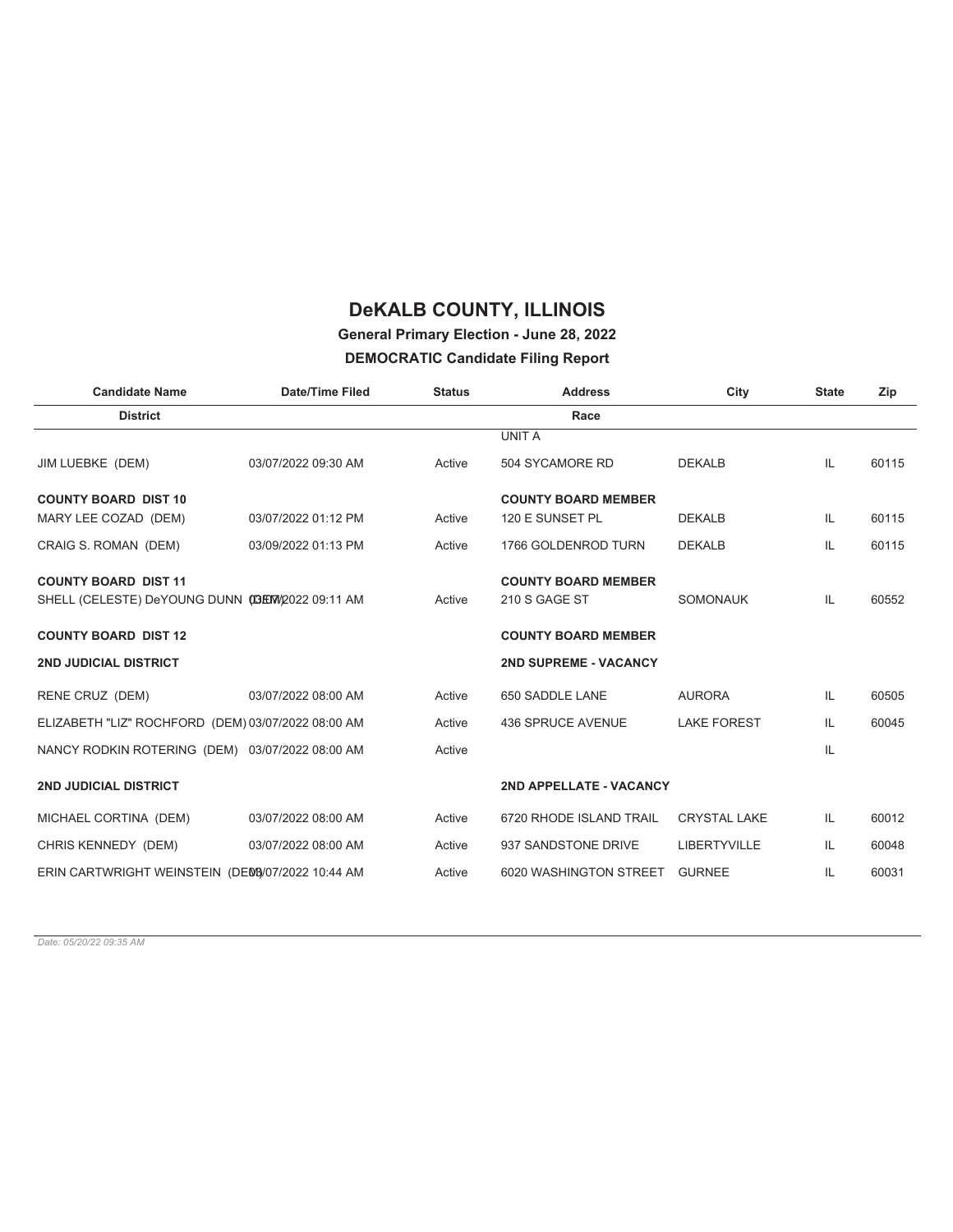### **General Primary Election - June 28, 2022**

#### **DEMOCRATIC Candidate Filing Report**

| <b>Candidate Name</b>                              | <b>Date/Time Filed</b> | <b>Status</b> | <b>Address</b>               | City                | <b>State</b> | Zip   |
|----------------------------------------------------|------------------------|---------------|------------------------------|---------------------|--------------|-------|
| <b>District</b>                                    |                        |               | Race                         |                     |              |       |
|                                                    |                        |               | <b>UNIT A</b>                |                     |              |       |
| JIM LUEBKE (DEM)                                   | 03/07/2022 09:30 AM    | Active        | 504 SYCAMORE RD              | <b>DEKALB</b>       | IL.          | 60115 |
| <b>COUNTY BOARD DIST 10</b>                        |                        |               | <b>COUNTY BOARD MEMBER</b>   |                     |              |       |
| MARY LEE COZAD (DEM)                               | 03/07/2022 01:12 PM    | Active        | 120 E SUNSET PL              | <b>DEKALB</b>       | IL           | 60115 |
| CRAIG S. ROMAN (DEM)                               | 03/09/2022 01:13 PM    | Active        | 1766 GOLDENROD TURN          | <b>DEKALB</b>       | IL           | 60115 |
| <b>COUNTY BOARD DIST 11</b>                        |                        |               | <b>COUNTY BOARD MEMBER</b>   |                     |              |       |
| SHELL (CELESTE) DeYOUNG DUNN (C3EW/2022 09:11 AM   |                        | Active        | 210 S GAGE ST                | <b>SOMONAUK</b>     | IL           | 60552 |
| <b>COUNTY BOARD DIST 12</b>                        |                        |               | <b>COUNTY BOARD MEMBER</b>   |                     |              |       |
| <b>2ND JUDICIAL DISTRICT</b>                       |                        |               | <b>2ND SUPREME - VACANCY</b> |                     |              |       |
| RENE CRUZ (DEM)                                    | 03/07/2022 08:00 AM    | Active        | 650 SADDLE LANE              | <b>AURORA</b>       | IL.          | 60505 |
| ELIZABETH "LIZ" ROCHFORD (DEM) 03/07/2022 08:00 AM |                        | Active        | 436 SPRUCE AVENUE            | <b>LAKE FOREST</b>  | IL           | 60045 |
| NANCY RODKIN ROTERING (DEM) 03/07/2022 08:00 AM    |                        | Active        |                              |                     | IL           |       |
| <b>2ND JUDICIAL DISTRICT</b>                       |                        |               | 2ND APPELLATE - VACANCY      |                     |              |       |
| MICHAEL CORTINA (DEM)                              | 03/07/2022 08:00 AM    | Active        | 6720 RHODE ISLAND TRAIL      | <b>CRYSTAL LAKE</b> | IL.          | 60012 |
| CHRIS KENNEDY (DEM)                                | 03/07/2022 08:00 AM    | Active        | 937 SANDSTONE DRIVE          | <b>LIBERTYVILLE</b> | IL           | 60048 |
| ERIN CARTWRIGHT WEINSTEIN (DEM3/07/2022 10:44 AM   |                        | Active        | 6020 WASHINGTON STREET       | <b>GURNEE</b>       | IL           | 60031 |
|                                                    |                        |               |                              |                     |              |       |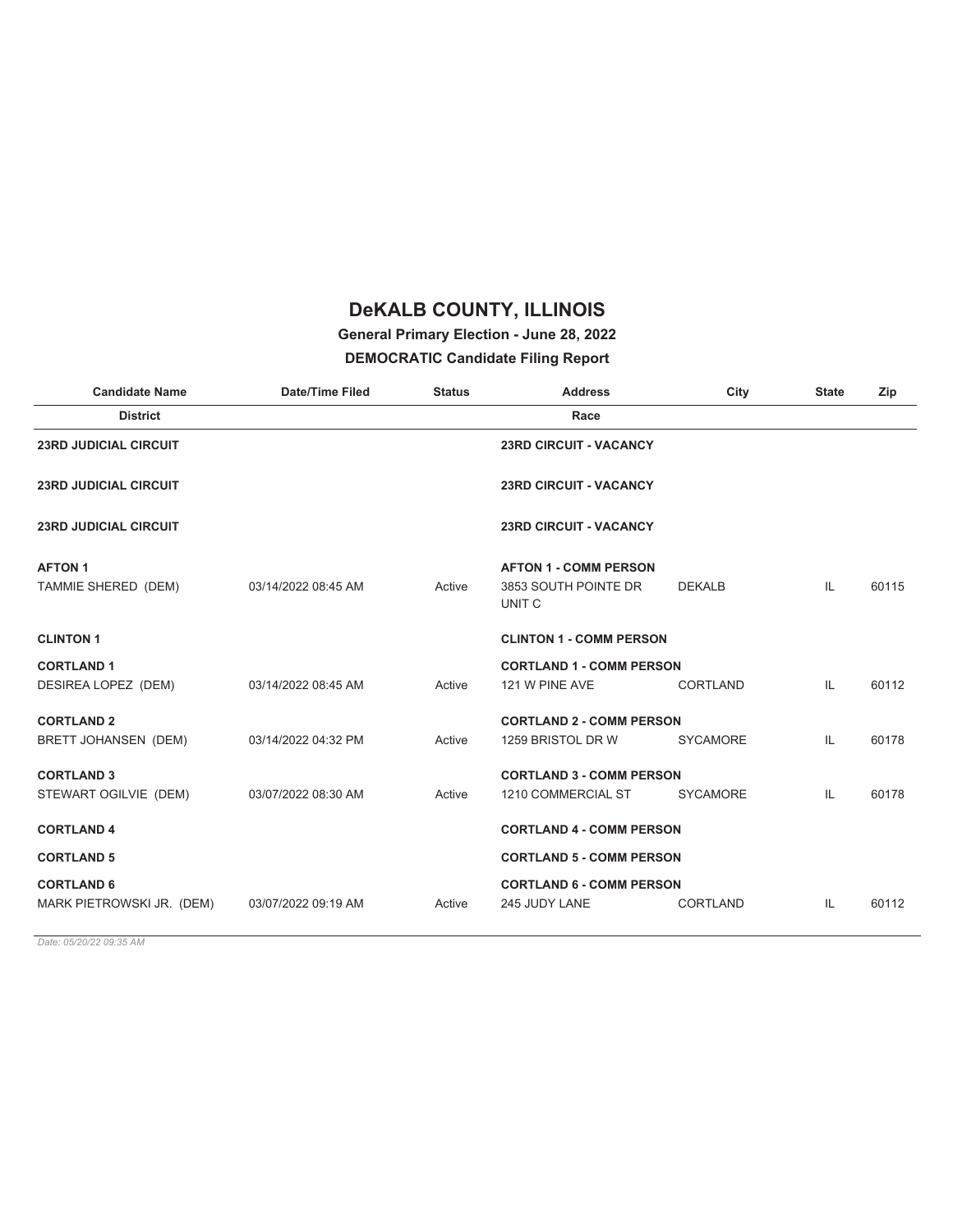### **General Primary Election - June 28, 2022**

#### **DEMOCRATIC Candidate Filing Report**

| <b>Candidate Name</b>        | <b>Date/Time Filed</b> | <b>Status</b> | <b>Address</b>                            | City            | <b>State</b> | Zip   |
|------------------------------|------------------------|---------------|-------------------------------------------|-----------------|--------------|-------|
| <b>District</b>              |                        |               | Race                                      |                 |              |       |
| <b>23RD JUDICIAL CIRCUIT</b> |                        |               | <b>23RD CIRCUIT - VACANCY</b>             |                 |              |       |
| <b>23RD JUDICIAL CIRCUIT</b> |                        |               | <b>23RD CIRCUIT - VACANCY</b>             |                 |              |       |
| <b>23RD JUDICIAL CIRCUIT</b> |                        |               | <b>23RD CIRCUIT - VACANCY</b>             |                 |              |       |
| <b>AFTON 1</b>               |                        |               | <b>AFTON 1 - COMM PERSON</b>              |                 |              |       |
| TAMMIE SHERED (DEM)          | 03/14/2022 08:45 AM    | Active        | 3853 SOUTH POINTE DR<br>UNIT <sub>C</sub> | <b>DEKALB</b>   | IL           | 60115 |
| <b>CLINTON 1</b>             |                        |               | <b>CLINTON 1 - COMM PERSON</b>            |                 |              |       |
| <b>CORTLAND 1</b>            |                        |               | <b>CORTLAND 1 - COMM PERSON</b>           |                 |              |       |
| DESIREA LOPEZ (DEM)          | 03/14/2022 08:45 AM    | Active        | 121 W PINE AVE                            | <b>CORTLAND</b> | IL           | 60112 |
| <b>CORTLAND 2</b>            |                        |               | <b>CORTLAND 2 - COMM PERSON</b>           |                 |              |       |
| <b>BRETT JOHANSEN (DEM)</b>  | 03/14/2022 04:32 PM    | Active        | 1259 BRISTOL DR W                         | <b>SYCAMORE</b> | IL           | 60178 |
| <b>CORTLAND 3</b>            |                        |               | <b>CORTLAND 3 - COMM PERSON</b>           |                 |              |       |
| STEWART OGILVIE (DEM)        | 03/07/2022 08:30 AM    | Active        | 1210 COMMERCIAL ST                        | <b>SYCAMORE</b> | IL           | 60178 |
| <b>CORTLAND 4</b>            |                        |               | <b>CORTLAND 4 - COMM PERSON</b>           |                 |              |       |
| <b>CORTLAND 5</b>            |                        |               | <b>CORTLAND 5 - COMM PERSON</b>           |                 |              |       |
| <b>CORTLAND 6</b>            |                        |               | <b>CORTLAND 6 - COMM PERSON</b>           |                 |              |       |
| MARK PIETROWSKI JR. (DEM)    | 03/07/2022 09:19 AM    | Active        | 245 JUDY LANE                             | <b>CORTLAND</b> | IL           | 60112 |
|                              |                        |               |                                           |                 |              |       |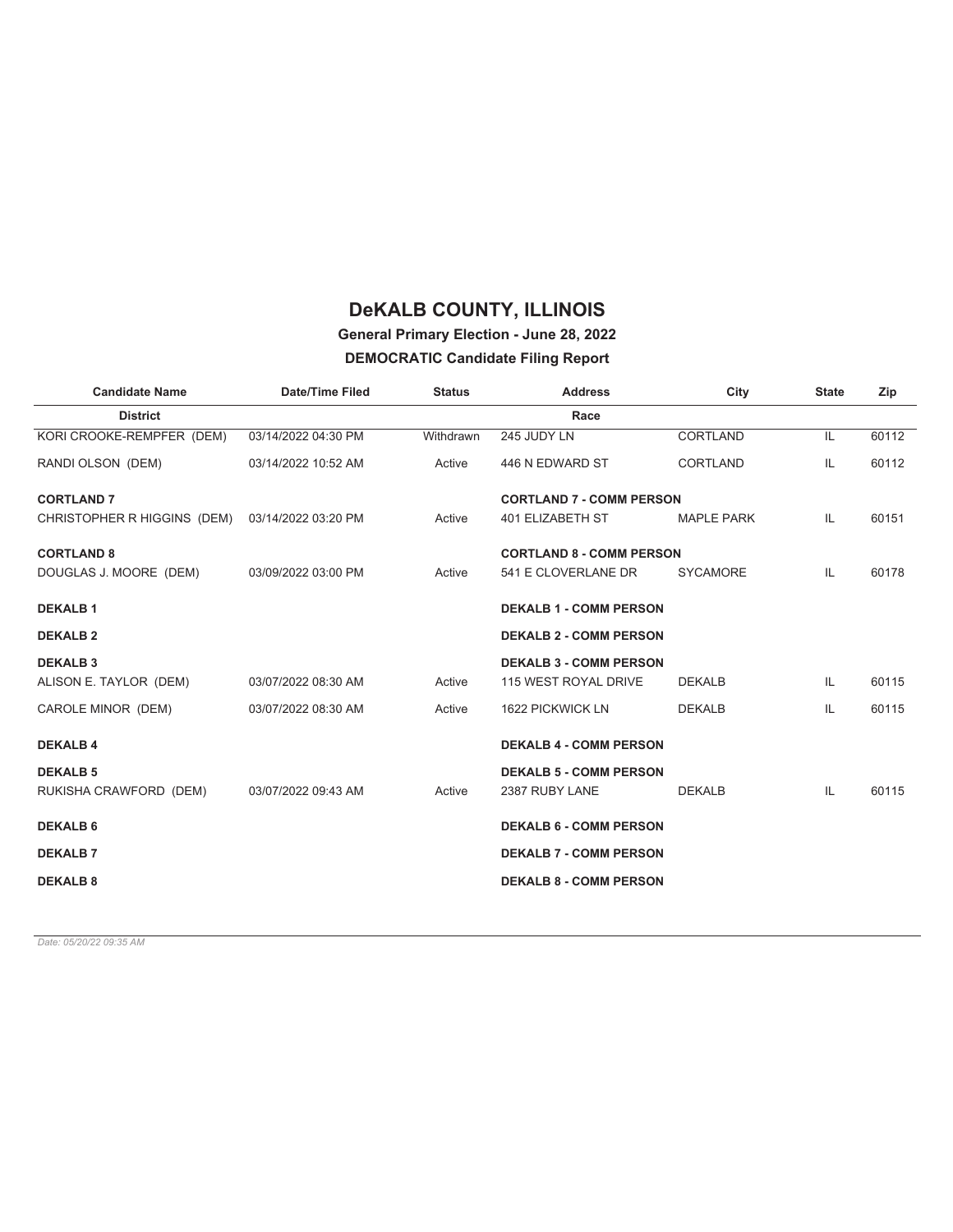### **General Primary Election - June 28, 2022**

#### **DEMOCRATIC Candidate Filing Report**

| <b>Candidate Name</b>       | <b>Date/Time Filed</b> | <b>Status</b> | <b>Address</b>                  | City              | <b>State</b> | Zip   |
|-----------------------------|------------------------|---------------|---------------------------------|-------------------|--------------|-------|
| <b>District</b>             |                        |               | Race                            |                   |              |       |
| KORI CROOKE-REMPFER (DEM)   | 03/14/2022 04:30 PM    | Withdrawn     | 245 JUDY LN                     | <b>CORTLAND</b>   | IL           | 60112 |
| RANDI OLSON (DEM)           | 03/14/2022 10:52 AM    | Active        | 446 N EDWARD ST                 | <b>CORTLAND</b>   | IL           | 60112 |
| <b>CORTLAND 7</b>           |                        |               | <b>CORTLAND 7 - COMM PERSON</b> |                   |              |       |
| CHRISTOPHER R HIGGINS (DEM) | 03/14/2022 03:20 PM    | Active        | 401 ELIZABETH ST                | <b>MAPLE PARK</b> | IL           | 60151 |
| <b>CORTLAND 8</b>           |                        |               | <b>CORTLAND 8 - COMM PERSON</b> |                   |              |       |
| DOUGLAS J. MOORE (DEM)      | 03/09/2022 03:00 PM    | Active        | 541 E CLOVERLANE DR             | <b>SYCAMORE</b>   | IL           | 60178 |
| <b>DEKALB1</b>              |                        |               | <b>DEKALB 1 - COMM PERSON</b>   |                   |              |       |
| <b>DEKALB 2</b>             |                        |               | <b>DEKALB 2 - COMM PERSON</b>   |                   |              |       |
| <b>DEKALB3</b>              |                        |               | <b>DEKALB 3 - COMM PERSON</b>   |                   |              |       |
| ALISON E. TAYLOR (DEM)      | 03/07/2022 08:30 AM    | Active        | 115 WEST ROYAL DRIVE            | <b>DEKALB</b>     | IL.          | 60115 |
| CAROLE MINOR (DEM)          | 03/07/2022 08:30 AM    | Active        | 1622 PICKWICK LN                | <b>DEKALB</b>     | IL           | 60115 |
| <b>DEKALB4</b>              |                        |               | <b>DEKALB 4 - COMM PERSON</b>   |                   |              |       |
| <b>DEKALB 5</b>             |                        |               | <b>DEKALB 5 - COMM PERSON</b>   |                   |              |       |
| RUKISHA CRAWFORD (DEM)      | 03/07/2022 09:43 AM    | Active        | 2387 RUBY LANE                  | <b>DEKALB</b>     | IL           | 60115 |
| <b>DEKALB 6</b>             |                        |               | <b>DEKALB 6 - COMM PERSON</b>   |                   |              |       |
| <b>DEKALB7</b>              |                        |               | <b>DEKALB 7 - COMM PERSON</b>   |                   |              |       |
| <b>DEKALB 8</b>             |                        |               | <b>DEKALB 8 - COMM PERSON</b>   |                   |              |       |
|                             |                        |               |                                 |                   |              |       |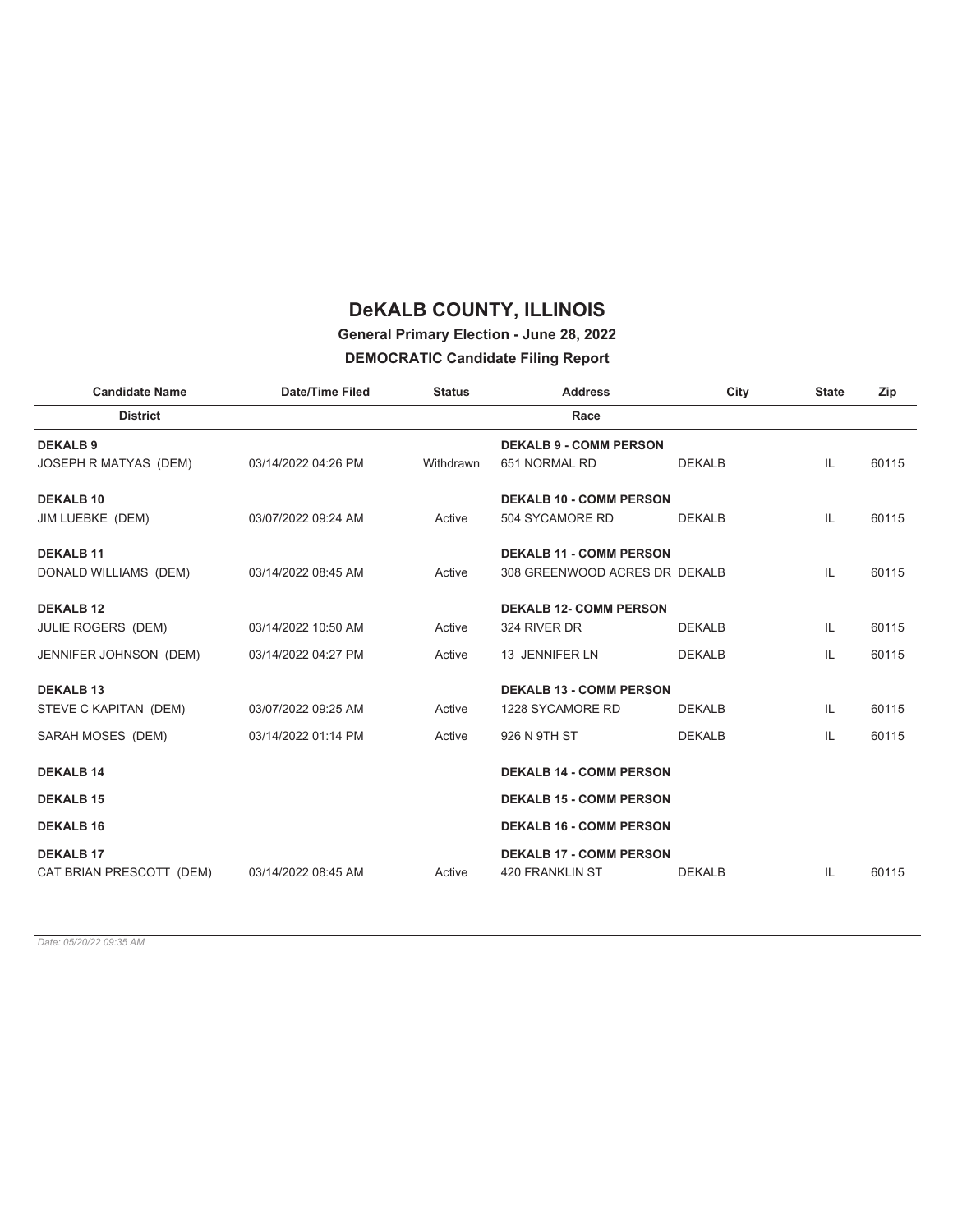#### **General Primary Election - June 28, 2022**

#### **DEMOCRATIC Candidate Filing Report**

| <b>Candidate Name</b>     | <b>Date/Time Filed</b> | <b>Status</b> | <b>Address</b>                 | City          | <b>State</b> | Zip   |
|---------------------------|------------------------|---------------|--------------------------------|---------------|--------------|-------|
| <b>District</b>           |                        |               | Race                           |               |              |       |
| <b>DEKALB9</b>            |                        |               | <b>DEKALB 9 - COMM PERSON</b>  |               |              |       |
| JOSEPH R MATYAS (DEM)     | 03/14/2022 04:26 PM    | Withdrawn     | 651 NORMAL RD                  | <b>DEKALB</b> | IL           | 60115 |
| <b>DEKALB 10</b>          |                        |               | <b>DEKALB 10 - COMM PERSON</b> |               |              |       |
| JIM LUEBKE (DEM)          | 03/07/2022 09:24 AM    | Active        | 504 SYCAMORE RD                | <b>DEKALB</b> | IL           | 60115 |
| <b>DEKALB 11</b>          |                        |               | <b>DEKALB 11 - COMM PERSON</b> |               |              |       |
| DONALD WILLIAMS (DEM)     | 03/14/2022 08:45 AM    | Active        | 308 GREENWOOD ACRES DR DEKALB  |               | IL           | 60115 |
| <b>DEKALB 12</b>          |                        |               | <b>DEKALB 12- COMM PERSON</b>  |               |              |       |
| <b>JULIE ROGERS (DEM)</b> | 03/14/2022 10:50 AM    | Active        | 324 RIVER DR                   | <b>DEKALB</b> | IL           | 60115 |
| JENNIFER JOHNSON (DEM)    | 03/14/2022 04:27 PM    | Active        | 13 JENNIFER LN                 | <b>DEKALB</b> | IL           | 60115 |
| <b>DEKALB 13</b>          |                        |               | <b>DEKALB 13 - COMM PERSON</b> |               |              |       |
| STEVE C KAPITAN (DEM)     | 03/07/2022 09:25 AM    | Active        | 1228 SYCAMORE RD               | <b>DEKALB</b> | IL           | 60115 |
| SARAH MOSES (DEM)         | 03/14/2022 01:14 PM    | Active        | 926 N 9TH ST                   | <b>DEKALB</b> | IL           | 60115 |
| <b>DEKALB 14</b>          |                        |               | <b>DEKALB 14 - COMM PERSON</b> |               |              |       |
| <b>DEKALB 15</b>          |                        |               | <b>DEKALB 15 - COMM PERSON</b> |               |              |       |
| <b>DEKALB 16</b>          |                        |               | <b>DEKALB 16 - COMM PERSON</b> |               |              |       |
| <b>DEKALB 17</b>          |                        |               | <b>DEKALB 17 - COMM PERSON</b> |               |              |       |
| CAT BRIAN PRESCOTT (DEM)  | 03/14/2022 08:45 AM    | Active        | <b>420 FRANKLIN ST</b>         | <b>DEKALB</b> | IL           | 60115 |
|                           |                        |               |                                |               |              |       |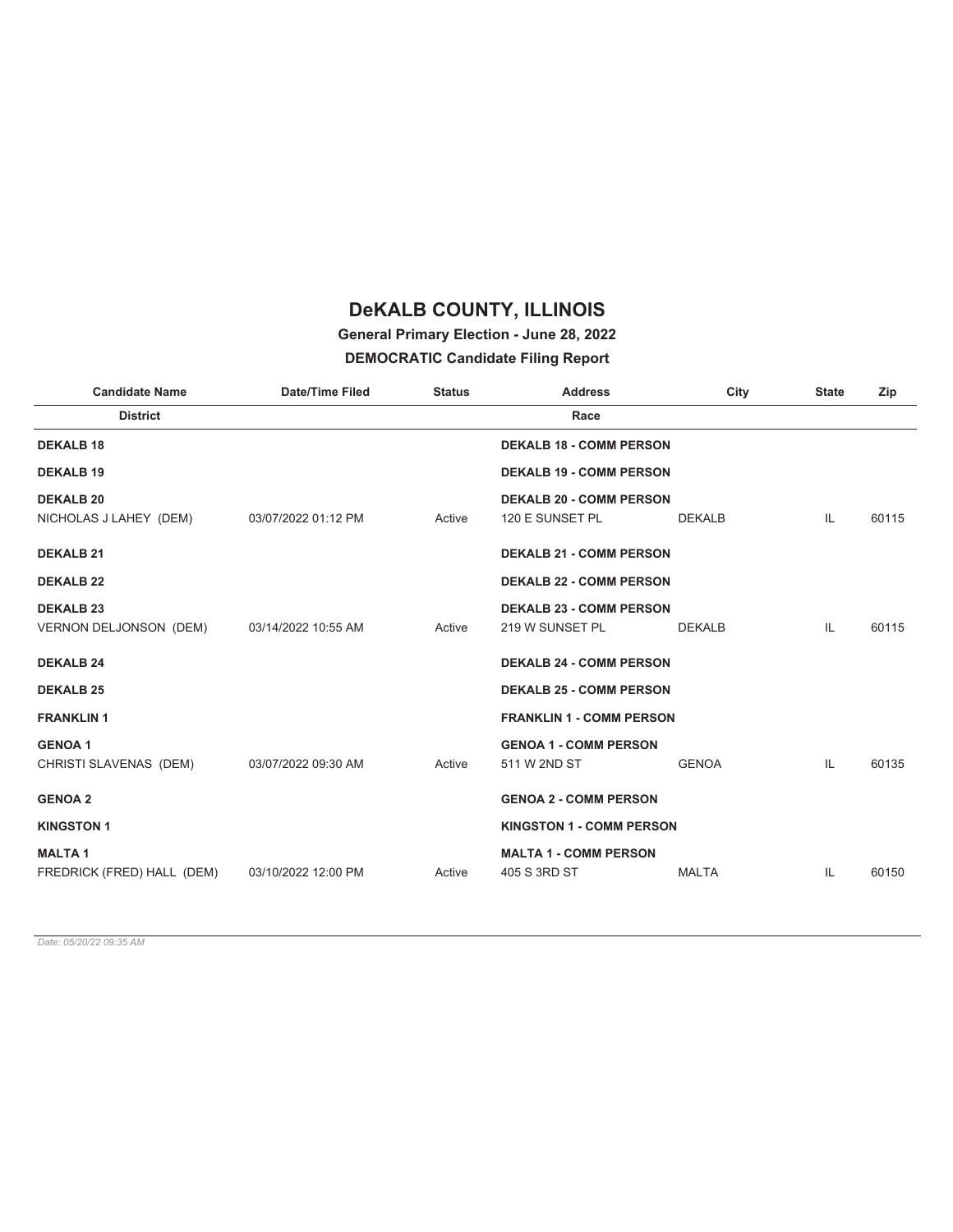### **General Primary Election - June 28, 2022**

#### **DEMOCRATIC Candidate Filing Report**

| <b>Candidate Name</b>      | <b>Date/Time Filed</b> | <b>Status</b> | <b>Address</b>                  | City          | <b>State</b> | Zip   |
|----------------------------|------------------------|---------------|---------------------------------|---------------|--------------|-------|
| <b>District</b>            |                        |               | Race                            |               |              |       |
| <b>DEKALB 18</b>           |                        |               | <b>DEKALB 18 - COMM PERSON</b>  |               |              |       |
| <b>DEKALB 19</b>           |                        |               | <b>DEKALB 19 - COMM PERSON</b>  |               |              |       |
| <b>DEKALB 20</b>           |                        |               | <b>DEKALB 20 - COMM PERSON</b>  |               |              |       |
| NICHOLAS J LAHEY (DEM)     | 03/07/2022 01:12 PM    | Active        | 120 E SUNSET PL                 | <b>DEKALB</b> | IL           | 60115 |
| <b>DEKALB 21</b>           |                        |               | <b>DEKALB 21 - COMM PERSON</b>  |               |              |       |
| <b>DEKALB 22</b>           |                        |               | <b>DEKALB 22 - COMM PERSON</b>  |               |              |       |
| <b>DEKALB 23</b>           |                        |               | <b>DEKALB 23 - COMM PERSON</b>  |               |              |       |
| VERNON DELJONSON (DEM)     | 03/14/2022 10:55 AM    | Active        | 219 W SUNSET PL                 | <b>DEKALB</b> | IL           | 60115 |
| <b>DEKALB 24</b>           |                        |               | <b>DEKALB 24 - COMM PERSON</b>  |               |              |       |
| <b>DEKALB 25</b>           |                        |               | <b>DEKALB 25 - COMM PERSON</b>  |               |              |       |
| <b>FRANKLIN1</b>           |                        |               | <b>FRANKLIN 1 - COMM PERSON</b> |               |              |       |
| <b>GENOA1</b>              |                        |               | <b>GENOA 1 - COMM PERSON</b>    |               |              |       |
| CHRISTI SLAVENAS (DEM)     | 03/07/2022 09:30 AM    | Active        | 511 W 2ND ST                    | <b>GENOA</b>  | IL           | 60135 |
| <b>GENOA 2</b>             |                        |               | <b>GENOA 2 - COMM PERSON</b>    |               |              |       |
| <b>KINGSTON 1</b>          |                        |               | <b>KINGSTON 1 - COMM PERSON</b> |               |              |       |
| <b>MALTA1</b>              |                        |               | <b>MALTA 1 - COMM PERSON</b>    |               |              |       |
| FREDRICK (FRED) HALL (DEM) | 03/10/2022 12:00 PM    | Active        | 405 S 3RD ST                    | <b>MALTA</b>  | IL           | 60150 |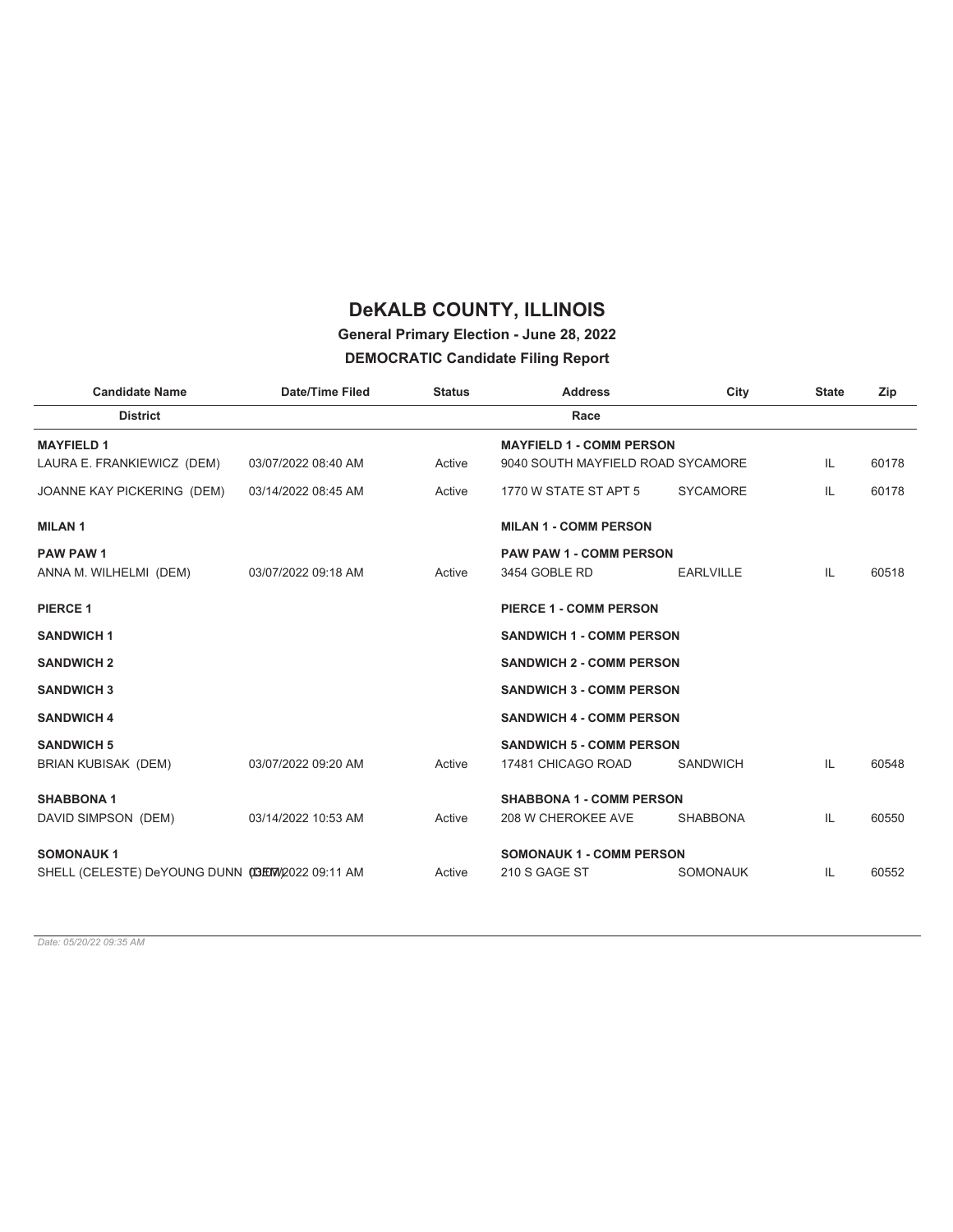#### **General Primary Election - June 28, 2022**

#### **DEMOCRATIC Candidate Filing Report**

| <b>Candidate Name</b>                           | Date/Time Filed     | <b>Status</b> | <b>Address</b>                    | City             | <b>State</b> | Zip   |
|-------------------------------------------------|---------------------|---------------|-----------------------------------|------------------|--------------|-------|
| <b>District</b>                                 |                     |               | Race                              |                  |              |       |
| <b>MAYFIELD1</b>                                |                     |               | <b>MAYFIELD 1 - COMM PERSON</b>   |                  |              |       |
| LAURA E. FRANKIEWICZ (DEM)                      | 03/07/2022 08:40 AM | Active        | 9040 SOUTH MAYFIELD ROAD SYCAMORE |                  | IL           | 60178 |
| JOANNE KAY PICKERING (DEM)                      | 03/14/2022 08:45 AM | Active        | 1770 W STATE ST APT 5             | <b>SYCAMORE</b>  | IL           | 60178 |
| <b>MILAN1</b>                                   |                     |               | <b>MILAN 1 - COMM PERSON</b>      |                  |              |       |
| <b>PAW PAW 1</b>                                |                     |               | <b>PAW PAW 1 - COMM PERSON</b>    |                  |              |       |
| ANNA M. WILHELMI (DEM)                          | 03/07/2022 09:18 AM | Active        | 3454 GOBLE RD                     | <b>EARLVILLE</b> | IL           | 60518 |
| <b>PIERCE 1</b>                                 |                     |               | <b>PIERCE 1 - COMM PERSON</b>     |                  |              |       |
| <b>SANDWICH 1</b>                               |                     |               | <b>SANDWICH 1 - COMM PERSON</b>   |                  |              |       |
| <b>SANDWICH 2</b>                               |                     |               | <b>SANDWICH 2 - COMM PERSON</b>   |                  |              |       |
| <b>SANDWICH 3</b>                               |                     |               | <b>SANDWICH 3 - COMM PERSON</b>   |                  |              |       |
| <b>SANDWICH 4</b>                               |                     |               | <b>SANDWICH 4 - COMM PERSON</b>   |                  |              |       |
| <b>SANDWICH 5</b>                               |                     |               | <b>SANDWICH 5 - COMM PERSON</b>   |                  |              |       |
| BRIAN KUBISAK (DEM)                             | 03/07/2022 09:20 AM | Active        | 17481 CHICAGO ROAD                | <b>SANDWICH</b>  | IL           | 60548 |
| <b>SHABBONA 1</b>                               |                     |               | <b>SHABBONA 1 - COMM PERSON</b>   |                  |              |       |
| DAVID SIMPSON (DEM)                             | 03/14/2022 10:53 AM | Active        | 208 W CHEROKEE AVE                | <b>SHABBONA</b>  | IL           | 60550 |
| <b>SOMONAUK1</b>                                |                     |               | <b>SOMONAUK 1 - COMM PERSON</b>   |                  |              |       |
| SHELL (CELESTE) DeYOUNG DUNN (DEW/2022 09:11 AM |                     | Active        | 210 S GAGE ST                     | <b>SOMONAUK</b>  | IL           | 60552 |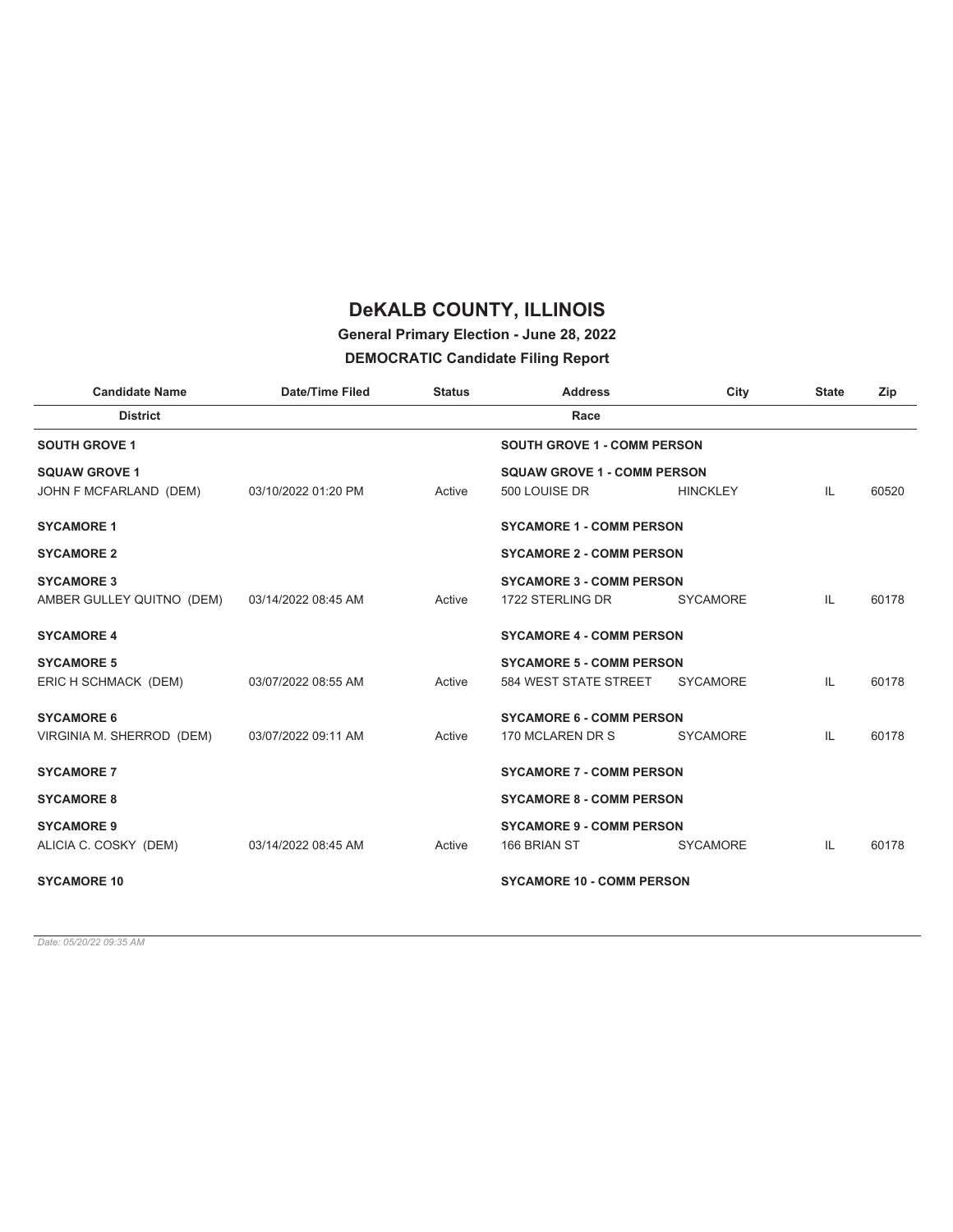#### **General Primary Election - June 28, 2022**

#### **DEMOCRATIC Candidate Filing Report**

| <b>Candidate Name</b>     | <b>Date/Time Filed</b> | <b>Status</b> | <b>Address</b>                     | City            | <b>State</b> | Zip   |
|---------------------------|------------------------|---------------|------------------------------------|-----------------|--------------|-------|
| <b>District</b>           |                        |               | Race                               |                 |              |       |
| <b>SOUTH GROVE 1</b>      |                        |               | <b>SOUTH GROVE 1 - COMM PERSON</b> |                 |              |       |
| <b>SQUAW GROVE 1</b>      |                        |               | <b>SQUAW GROVE 1 - COMM PERSON</b> |                 |              |       |
| JOHN F MCFARLAND (DEM)    | 03/10/2022 01:20 PM    | Active        | 500 LOUISE DR                      | <b>HINCKLEY</b> | IL           | 60520 |
| <b>SYCAMORE 1</b>         |                        |               | <b>SYCAMORE 1 - COMM PERSON</b>    |                 |              |       |
| <b>SYCAMORE 2</b>         |                        |               | <b>SYCAMORE 2 - COMM PERSON</b>    |                 |              |       |
| <b>SYCAMORE 3</b>         |                        |               | <b>SYCAMORE 3 - COMM PERSON</b>    |                 |              |       |
| AMBER GULLEY QUITNO (DEM) | 03/14/2022 08:45 AM    | Active        | 1722 STERLING DR                   | <b>SYCAMORE</b> | IL           | 60178 |
| <b>SYCAMORE 4</b>         |                        |               | <b>SYCAMORE 4 - COMM PERSON</b>    |                 |              |       |
| <b>SYCAMORE 5</b>         |                        |               | <b>SYCAMORE 5 - COMM PERSON</b>    |                 |              |       |
| ERIC H SCHMACK (DEM)      | 03/07/2022 08:55 AM    | Active        | 584 WEST STATE STREET              | <b>SYCAMORE</b> | IL           | 60178 |
| <b>SYCAMORE 6</b>         |                        |               | <b>SYCAMORE 6 - COMM PERSON</b>    |                 |              |       |
| VIRGINIA M. SHERROD (DEM) | 03/07/2022 09:11 AM    | Active        | 170 MCLAREN DR S                   | <b>SYCAMORE</b> | IL           | 60178 |
| <b>SYCAMORE 7</b>         |                        |               | <b>SYCAMORE 7 - COMM PERSON</b>    |                 |              |       |
| <b>SYCAMORE 8</b>         |                        |               | <b>SYCAMORE 8 - COMM PERSON</b>    |                 |              |       |
| <b>SYCAMORE 9</b>         |                        |               | <b>SYCAMORE 9 - COMM PERSON</b>    |                 |              |       |
| ALICIA C. COSKY (DEM)     | 03/14/2022 08:45 AM    | Active        | 166 BRIAN ST                       | <b>SYCAMORE</b> | IL           | 60178 |
| <b>SYCAMORE 10</b>        |                        |               | <b>SYCAMORE 10 - COMM PERSON</b>   |                 |              |       |